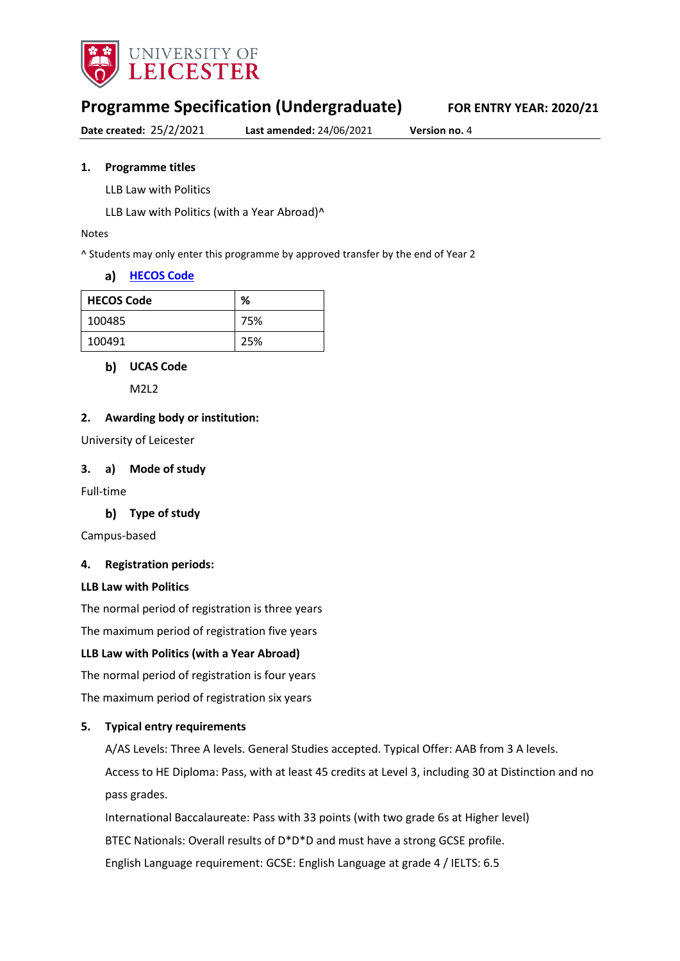

# **Programme Specification (Undergraduate) FOR ENTRY YEAR: 2020/21**

**Date created:** 25/2/2021 **Last amended:** 24/06/2021 **Version no.** 4

#### **1. Programme titles**

LLB Law with Politics

LLB Law with Politics (with a Year Abroad)^

#### Notes

^ Students may only enter this programme by approved transfer by the end of Year 2

#### **[HECOS Code](https://www.hesa.ac.uk/innovation/hecos)**

| <b>HECOS Code</b> | %   |
|-------------------|-----|
| 100485            | 75% |
| 100491            | 25% |

#### **UCAS Code**

M2L2

#### **2. Awarding body or institution:**

University of Leicester

#### **3. a) Mode of study**

Full-time

#### **Type of study**

Campus-based

#### **4. Registration periods:**

#### **LLB Law with Politics**

The normal period of registration is three years

The maximum period of registration five years

#### **LLB Law with Politics (with a Year Abroad)**

The normal period of registration is four years

The maximum period of registration six years

#### **5. Typical entry requirements**

A/AS Levels: Three A levels. General Studies accepted. Typical Offer: AAB from 3 A levels. Access to HE Diploma: Pass, with at least 45 credits at Level 3, including 30 at Distinction and no pass grades.

International Baccalaureate: Pass with 33 points (with two grade 6s at Higher level)

BTEC Nationals: Overall results of D\*D\*D and must have a strong GCSE profile.

English Language requirement: GCSE: English Language at grade 4 / IELTS: 6.5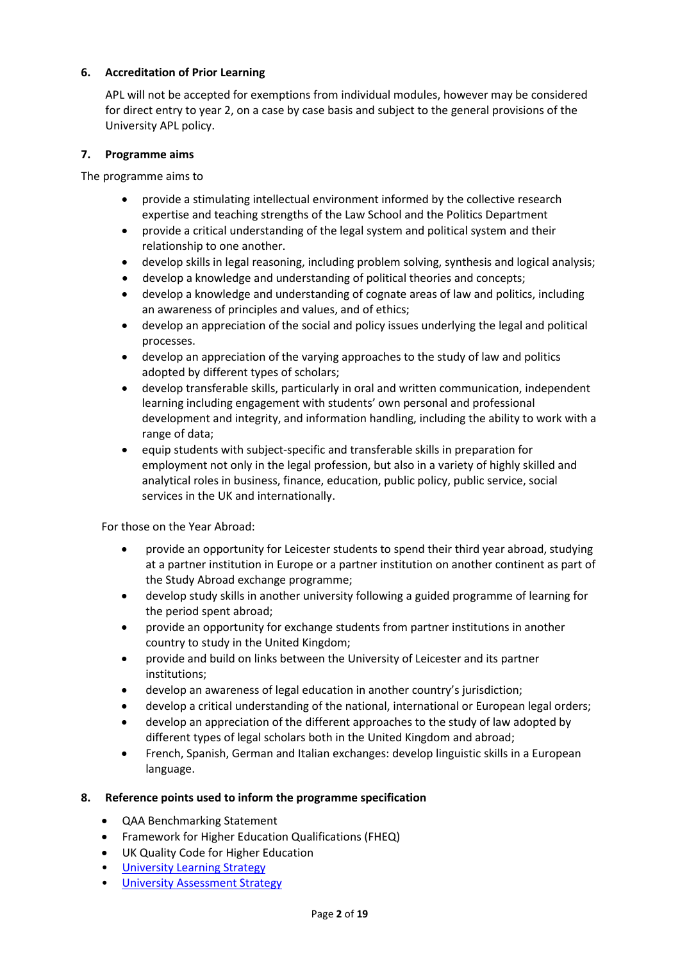## **6. Accreditation of Prior Learning**

APL will not be accepted for exemptions from individual modules, however may be considered for direct entry to year 2, on a case by case basis and subject to the general provisions of the University APL policy.

### **7. Programme aims**

The programme aims to

- provide a stimulating intellectual environment informed by the collective research expertise and teaching strengths of the Law School and the Politics Department
- provide a critical understanding of the legal system and political system and their relationship to one another.
- develop skills in legal reasoning, including problem solving, synthesis and logical analysis;
- develop a knowledge and understanding of political theories and concepts;
- develop a knowledge and understanding of cognate areas of law and politics, including an awareness of principles and values, and of ethics;
- develop an appreciation of the social and policy issues underlying the legal and political processes.
- develop an appreciation of the varying approaches to the study of law and politics adopted by different types of scholars;
- develop transferable skills, particularly in oral and written communication, independent learning including engagement with students' own personal and professional development and integrity, and information handling, including the ability to work with a range of data;
- equip students with subject-specific and transferable skills in preparation for employment not only in the legal profession, but also in a variety of highly skilled and analytical roles in business, finance, education, public policy, public service, social services in the UK and internationally.

For those on the Year Abroad:

- provide an opportunity for Leicester students to spend their third year abroad, studying at a partner institution in Europe or a partner institution on another continent as part of the Study Abroad exchange programme;
- develop study skills in another university following a guided programme of learning for the period spent abroad;
- provide an opportunity for exchange students from partner institutions in another country to study in the United Kingdom;
- provide and build on links between the University of Leicester and its partner institutions;
- develop an awareness of legal education in another country's jurisdiction;
- develop a critical understanding of the national, international or European legal orders;
- develop an appreciation of the different approaches to the study of law adopted by different types of legal scholars both in the United Kingdom and abroad;
- French, Spanish, German and Italian exchanges: develop linguistic skills in a European language.

## **8. Reference points used to inform the programme specification**

- QAA Benchmarking Statement
- Framework for Higher Education Qualifications (FHEQ)
- UK Quality Code for Higher Education
- University Learnin[g Strategy](https://www2.le.ac.uk/offices/sas2/quality/learnteach)
- [University Assessment Strategy](https://www2.le.ac.uk/offices/sas2/quality/learnteach)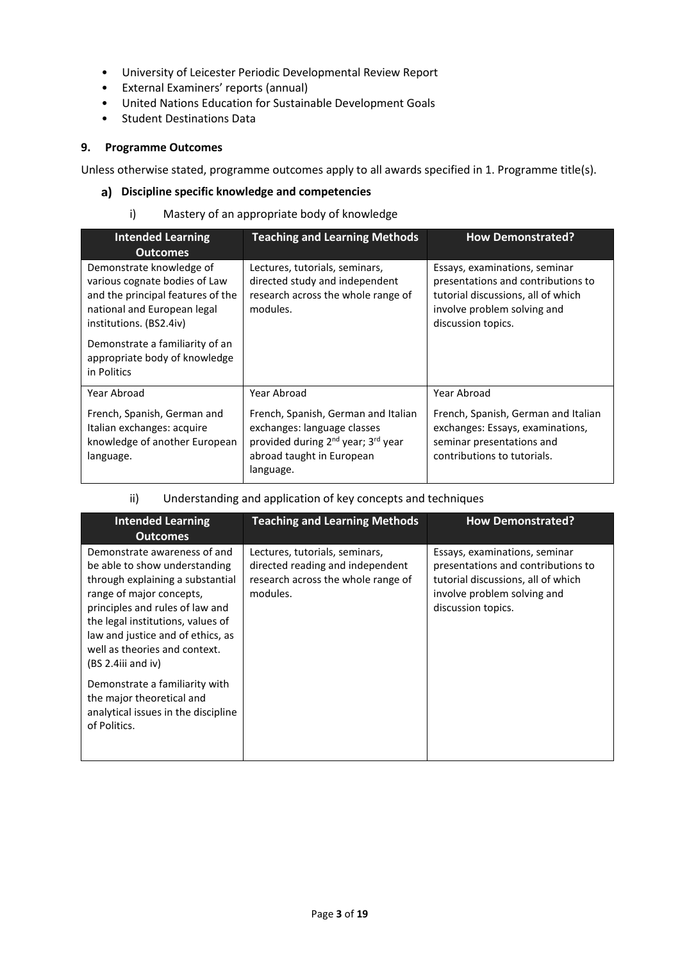- University of Leicester Periodic Developmental Review Report
- External Examiners' reports (annual)
- United Nations Education for Sustainable Development Goals
- Student Destinations Data

#### **9. Programme Outcomes**

Unless otherwise stated, programme outcomes apply to all awards specified in 1. Programme title(s).

### **Discipline specific knowledge and competencies**

i) Mastery of an appropriate body of knowledge

| <b>Intended Learning</b>                                                                                                                                                                                                                                       | <b>Teaching and Learning Methods</b>                                                                                                                                       | <b>How Demonstrated?</b>                                                                                                                                       |
|----------------------------------------------------------------------------------------------------------------------------------------------------------------------------------------------------------------------------------------------------------------|----------------------------------------------------------------------------------------------------------------------------------------------------------------------------|----------------------------------------------------------------------------------------------------------------------------------------------------------------|
| <b>Outcomes</b><br>Demonstrate knowledge of<br>various cognate bodies of Law<br>and the principal features of the<br>national and European legal<br>institutions. (BS2.4iv)<br>Demonstrate a familiarity of an<br>appropriate body of knowledge<br>in Politics | Lectures, tutorials, seminars,<br>directed study and independent<br>research across the whole range of<br>modules.                                                         | Essays, examinations, seminar<br>presentations and contributions to<br>tutorial discussions, all of which<br>involve problem solving and<br>discussion topics. |
| Year Abroad                                                                                                                                                                                                                                                    | Year Abroad                                                                                                                                                                | Year Abroad                                                                                                                                                    |
| French, Spanish, German and<br>Italian exchanges: acquire<br>knowledge of another European<br>language.                                                                                                                                                        | French, Spanish, German and Italian<br>exchanges: language classes<br>provided during 2 <sup>nd</sup> year; 3 <sup>rd</sup> year<br>abroad taught in European<br>language. | French, Spanish, German and Italian<br>exchanges: Essays, examinations,<br>seminar presentations and<br>contributions to tutorials.                            |

ii) Understanding and application of key concepts and techniques

| <b>Intended Learning</b><br><b>Outcomes</b>                                                                                                                                                                                                                                                                                                                      | <b>Teaching and Learning Methods</b>                                                                                 | <b>How Demonstrated?</b>                                                                                                                                       |
|------------------------------------------------------------------------------------------------------------------------------------------------------------------------------------------------------------------------------------------------------------------------------------------------------------------------------------------------------------------|----------------------------------------------------------------------------------------------------------------------|----------------------------------------------------------------------------------------------------------------------------------------------------------------|
| Demonstrate awareness of and<br>be able to show understanding<br>through explaining a substantial<br>range of major concepts,<br>principles and rules of law and<br>the legal institutions, values of<br>law and justice and of ethics, as<br>well as theories and context.<br>(BS 2.4iii and iv)<br>Demonstrate a familiarity with<br>the major theoretical and | Lectures, tutorials, seminars,<br>directed reading and independent<br>research across the whole range of<br>modules. | Essays, examinations, seminar<br>presentations and contributions to<br>tutorial discussions, all of which<br>involve problem solving and<br>discussion topics. |
| analytical issues in the discipline<br>of Politics.                                                                                                                                                                                                                                                                                                              |                                                                                                                      |                                                                                                                                                                |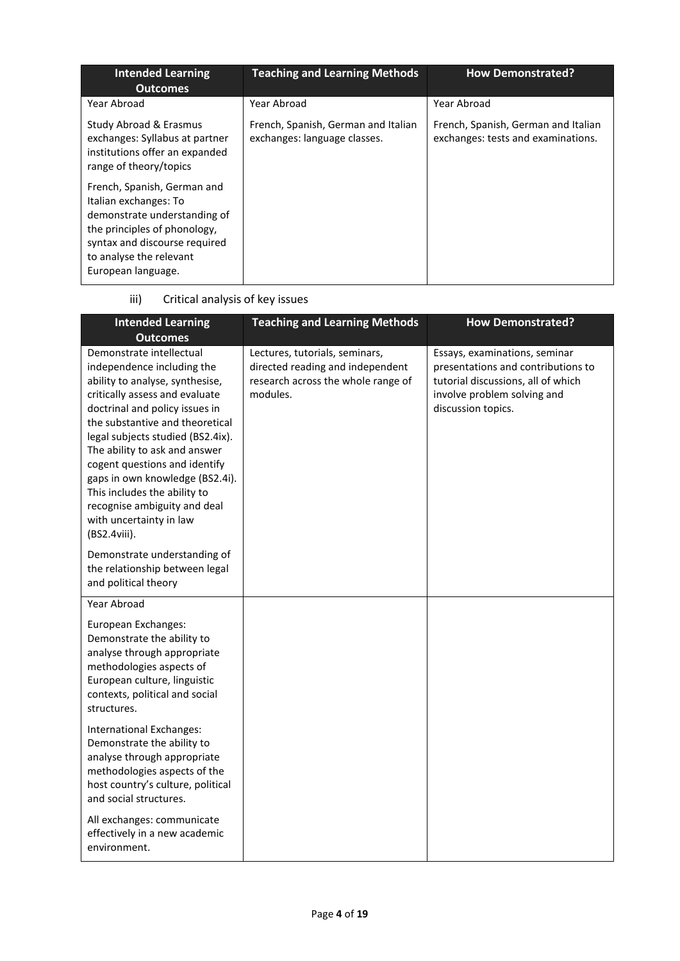| <b>Intended Learning</b><br><b>Outcomes</b>                                                                                                                                                            | <b>Teaching and Learning Methods</b>                                | <b>How Demonstrated?</b>                                                  |
|--------------------------------------------------------------------------------------------------------------------------------------------------------------------------------------------------------|---------------------------------------------------------------------|---------------------------------------------------------------------------|
| Year Abroad                                                                                                                                                                                            | Year Abroad                                                         | Year Abroad                                                               |
| Study Abroad & Erasmus<br>exchanges: Syllabus at partner<br>institutions offer an expanded<br>range of theory/topics                                                                                   | French, Spanish, German and Italian<br>exchanges: language classes. | French, Spanish, German and Italian<br>exchanges: tests and examinations. |
| French, Spanish, German and<br>Italian exchanges: To<br>demonstrate understanding of<br>the principles of phonology,<br>syntax and discourse required<br>to analyse the relevant<br>European language. |                                                                     |                                                                           |

| iii)<br>Critical analysis of key issues |
|-----------------------------------------|
|-----------------------------------------|

| <b>Intended Learning</b><br><b>Outcomes</b>                                                                                                                                                                                                                                                                                                                                                                                                           | <b>Teaching and Learning Methods</b>                                                                                 | <b>How Demonstrated?</b>                                                                                                                                       |
|-------------------------------------------------------------------------------------------------------------------------------------------------------------------------------------------------------------------------------------------------------------------------------------------------------------------------------------------------------------------------------------------------------------------------------------------------------|----------------------------------------------------------------------------------------------------------------------|----------------------------------------------------------------------------------------------------------------------------------------------------------------|
| Demonstrate intellectual<br>independence including the<br>ability to analyse, synthesise,<br>critically assess and evaluate<br>doctrinal and policy issues in<br>the substantive and theoretical<br>legal subjects studied (BS2.4ix).<br>The ability to ask and answer<br>cogent questions and identify<br>gaps in own knowledge (BS2.4i).<br>This includes the ability to<br>recognise ambiguity and deal<br>with uncertainty in law<br>(BS2.4viii). | Lectures, tutorials, seminars,<br>directed reading and independent<br>research across the whole range of<br>modules. | Essays, examinations, seminar<br>presentations and contributions to<br>tutorial discussions, all of which<br>involve problem solving and<br>discussion topics. |
| Demonstrate understanding of<br>the relationship between legal<br>and political theory                                                                                                                                                                                                                                                                                                                                                                |                                                                                                                      |                                                                                                                                                                |
| Year Abroad<br>European Exchanges:<br>Demonstrate the ability to<br>analyse through appropriate<br>methodologies aspects of<br>European culture, linguistic<br>contexts, political and social<br>structures.                                                                                                                                                                                                                                          |                                                                                                                      |                                                                                                                                                                |
| International Exchanges:<br>Demonstrate the ability to<br>analyse through appropriate<br>methodologies aspects of the<br>host country's culture, political<br>and social structures.                                                                                                                                                                                                                                                                  |                                                                                                                      |                                                                                                                                                                |
| All exchanges: communicate<br>effectively in a new academic<br>environment.                                                                                                                                                                                                                                                                                                                                                                           |                                                                                                                      |                                                                                                                                                                |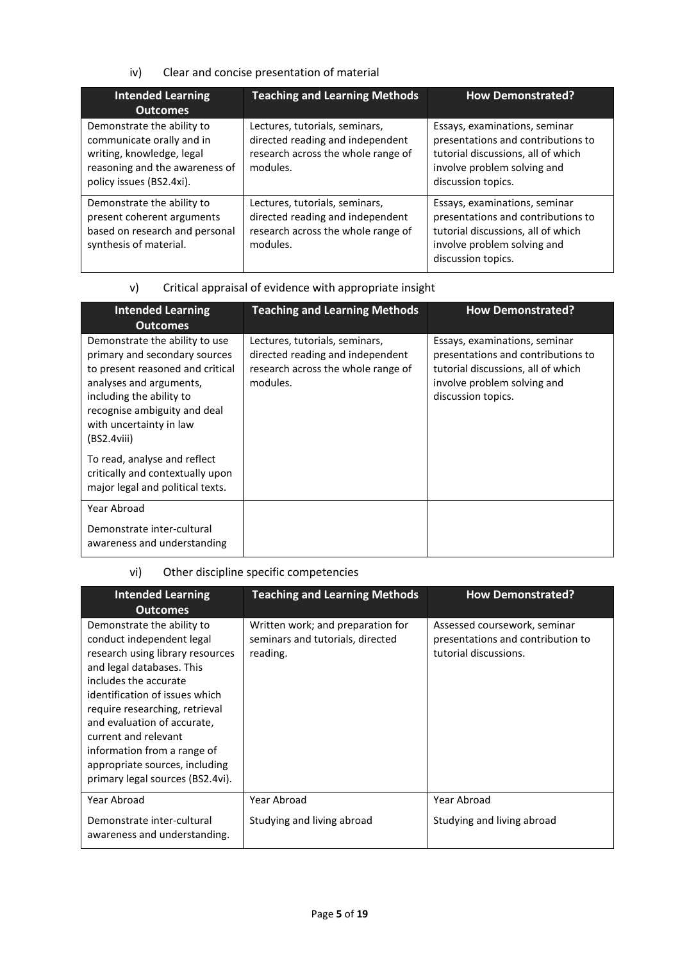## iv) Clear and concise presentation of material

| <b>Intended Learning</b><br><b>Outcomes</b>                                                                                                        | <b>Teaching and Learning Methods</b>                                                                                 | <b>How Demonstrated?</b>                                                                                                                                       |
|----------------------------------------------------------------------------------------------------------------------------------------------------|----------------------------------------------------------------------------------------------------------------------|----------------------------------------------------------------------------------------------------------------------------------------------------------------|
| Demonstrate the ability to<br>communicate orally and in<br>writing, knowledge, legal<br>reasoning and the awareness of<br>policy issues (BS2.4xi). | Lectures, tutorials, seminars,<br>directed reading and independent<br>research across the whole range of<br>modules. | Essays, examinations, seminar<br>presentations and contributions to<br>tutorial discussions, all of which<br>involve problem solving and<br>discussion topics. |
| Demonstrate the ability to<br>present coherent arguments<br>based on research and personal<br>synthesis of material.                               | Lectures, tutorials, seminars,<br>directed reading and independent<br>research across the whole range of<br>modules. | Essays, examinations, seminar<br>presentations and contributions to<br>tutorial discussions, all of which<br>involve problem solving and<br>discussion topics. |

# v) Critical appraisal of evidence with appropriate insight

| <b>Intended Learning</b><br><b>Outcomes</b>                                                                                                                                                                                          | <b>Teaching and Learning Methods</b>                                                                                 | <b>How Demonstrated?</b>                                                                                                                                       |
|--------------------------------------------------------------------------------------------------------------------------------------------------------------------------------------------------------------------------------------|----------------------------------------------------------------------------------------------------------------------|----------------------------------------------------------------------------------------------------------------------------------------------------------------|
| Demonstrate the ability to use<br>primary and secondary sources<br>to present reasoned and critical<br>analyses and arguments,<br>including the ability to<br>recognise ambiguity and deal<br>with uncertainty in law<br>(BS2.4viii) | Lectures, tutorials, seminars,<br>directed reading and independent<br>research across the whole range of<br>modules. | Essays, examinations, seminar<br>presentations and contributions to<br>tutorial discussions, all of which<br>involve problem solving and<br>discussion topics. |
| To read, analyse and reflect<br>critically and contextually upon<br>major legal and political texts.                                                                                                                                 |                                                                                                                      |                                                                                                                                                                |
| Year Abroad                                                                                                                                                                                                                          |                                                                                                                      |                                                                                                                                                                |
| Demonstrate inter-cultural<br>awareness and understanding                                                                                                                                                                            |                                                                                                                      |                                                                                                                                                                |

# vi) Other discipline specific competencies

| <b>Intended Learning</b><br><b>Outcomes</b>                                                                                                                                                                                                                                                                                                                                       | <b>Teaching and Learning Methods</b>                                              | <b>How Demonstrated?</b>                                                                   |
|-----------------------------------------------------------------------------------------------------------------------------------------------------------------------------------------------------------------------------------------------------------------------------------------------------------------------------------------------------------------------------------|-----------------------------------------------------------------------------------|--------------------------------------------------------------------------------------------|
| Demonstrate the ability to<br>conduct independent legal<br>research using library resources<br>and legal databases. This<br>includes the accurate<br>identification of issues which<br>require researching, retrieval<br>and evaluation of accurate,<br>current and relevant<br>information from a range of<br>appropriate sources, including<br>primary legal sources (BS2.4vi). | Written work; and preparation for<br>seminars and tutorials, directed<br>reading. | Assessed coursework, seminar<br>presentations and contribution to<br>tutorial discussions. |
| Year Abroad                                                                                                                                                                                                                                                                                                                                                                       | Year Abroad                                                                       | Year Abroad                                                                                |
| Demonstrate inter-cultural<br>awareness and understanding.                                                                                                                                                                                                                                                                                                                        | Studying and living abroad                                                        | Studying and living abroad                                                                 |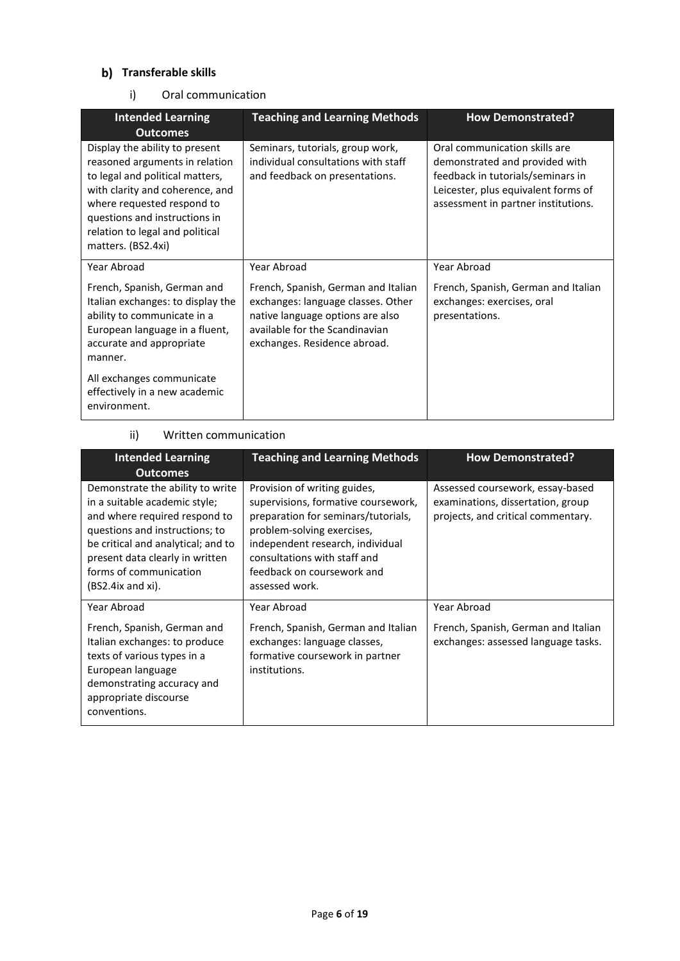## **b)** Transferable skills

i) Oral communication

| <b>Intended Learning</b><br><b>Outcomes</b>                                                                                                                                                                                                                    | <b>Teaching and Learning Methods</b>                                                                                                                                            | <b>How Demonstrated?</b>                                                                                                                                                           |
|----------------------------------------------------------------------------------------------------------------------------------------------------------------------------------------------------------------------------------------------------------------|---------------------------------------------------------------------------------------------------------------------------------------------------------------------------------|------------------------------------------------------------------------------------------------------------------------------------------------------------------------------------|
| Display the ability to present<br>reasoned arguments in relation<br>to legal and political matters,<br>with clarity and coherence, and<br>where requested respond to<br>questions and instructions in<br>relation to legal and political<br>matters. (BS2.4xi) | Seminars, tutorials, group work,<br>individual consultations with staff<br>and feedback on presentations.                                                                       | Oral communication skills are<br>demonstrated and provided with<br>feedback in tutorials/seminars in<br>Leicester, plus equivalent forms of<br>assessment in partner institutions. |
| Year Abroad                                                                                                                                                                                                                                                    | Year Abroad                                                                                                                                                                     | Year Abroad                                                                                                                                                                        |
| French, Spanish, German and<br>Italian exchanges: to display the<br>ability to communicate in a<br>European language in a fluent,<br>accurate and appropriate<br>manner.                                                                                       | French, Spanish, German and Italian<br>exchanges: language classes. Other<br>native language options are also<br>available for the Scandinavian<br>exchanges. Residence abroad. | French, Spanish, German and Italian<br>exchanges: exercises, oral<br>presentations.                                                                                                |
| All exchanges communicate<br>effectively in a new academic<br>environment.                                                                                                                                                                                     |                                                                                                                                                                                 |                                                                                                                                                                                    |

## ii) Written communication

| <b>Intended Learning</b><br><b>Outcomes</b>                                                                                                                                                                                                                  | <b>Teaching and Learning Methods</b>                                                                                                                                                                                                                         | <b>How Demonstrated?</b>                                                                                    |
|--------------------------------------------------------------------------------------------------------------------------------------------------------------------------------------------------------------------------------------------------------------|--------------------------------------------------------------------------------------------------------------------------------------------------------------------------------------------------------------------------------------------------------------|-------------------------------------------------------------------------------------------------------------|
| Demonstrate the ability to write<br>in a suitable academic style;<br>and where required respond to<br>questions and instructions; to<br>be critical and analytical; and to<br>present data clearly in written<br>forms of communication<br>(BS2.4ix and xi). | Provision of writing guides,<br>supervisions, formative coursework,<br>preparation for seminars/tutorials,<br>problem-solving exercises,<br>independent research, individual<br>consultations with staff and<br>feedback on coursework and<br>assessed work. | Assessed coursework, essay-based<br>examinations, dissertation, group<br>projects, and critical commentary. |
| Year Abroad                                                                                                                                                                                                                                                  | Year Abroad                                                                                                                                                                                                                                                  | Year Abroad                                                                                                 |
| French, Spanish, German and<br>Italian exchanges: to produce<br>texts of various types in a<br>European language<br>demonstrating accuracy and<br>appropriate discourse<br>conventions.                                                                      | French, Spanish, German and Italian<br>exchanges: language classes,<br>formative coursework in partner<br>institutions.                                                                                                                                      | French, Spanish, German and Italian<br>exchanges: assessed language tasks.                                  |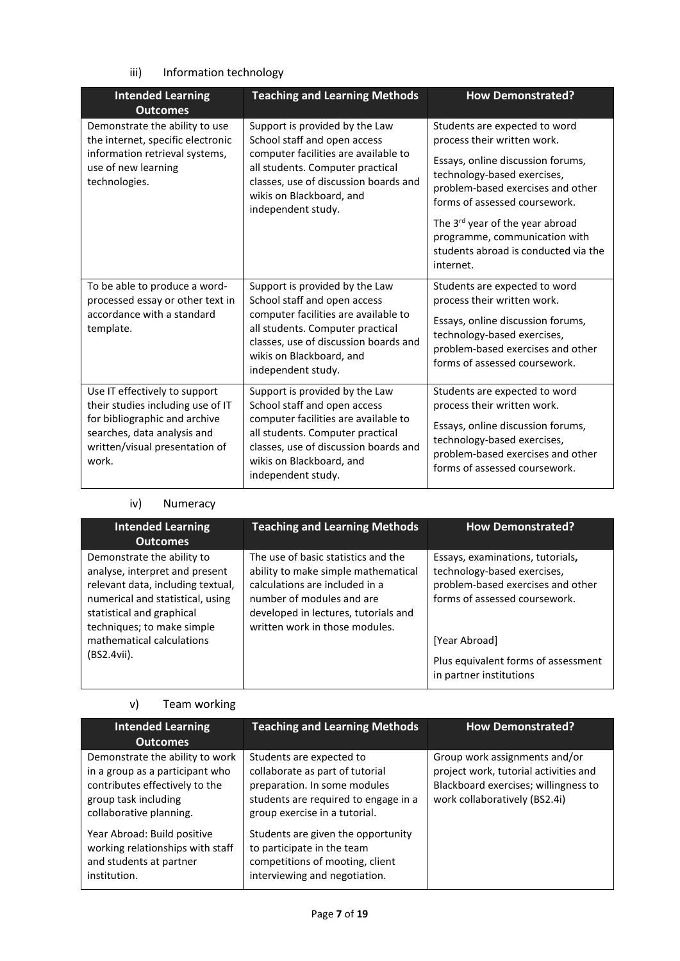## iii) Information technology

| <b>Intended Learning</b><br><b>Outcomes</b>                                                                                                                                   | <b>Teaching and Learning Methods</b>                                                                                                                                                                                                  | <b>How Demonstrated?</b>                                                                                                                                                                                                                                                                                                        |
|-------------------------------------------------------------------------------------------------------------------------------------------------------------------------------|---------------------------------------------------------------------------------------------------------------------------------------------------------------------------------------------------------------------------------------|---------------------------------------------------------------------------------------------------------------------------------------------------------------------------------------------------------------------------------------------------------------------------------------------------------------------------------|
| Demonstrate the ability to use<br>the internet, specific electronic<br>information retrieval systems,<br>use of new learning<br>technologies.                                 | Support is provided by the Law<br>School staff and open access<br>computer facilities are available to<br>all students. Computer practical<br>classes, use of discussion boards and<br>wikis on Blackboard, and<br>independent study. | Students are expected to word<br>process their written work.<br>Essays, online discussion forums,<br>technology-based exercises,<br>problem-based exercises and other<br>forms of assessed coursework.<br>The 3rd year of the year abroad<br>programme, communication with<br>students abroad is conducted via the<br>internet. |
| To be able to produce a word-<br>processed essay or other text in<br>accordance with a standard<br>template.                                                                  | Support is provided by the Law<br>School staff and open access<br>computer facilities are available to<br>all students. Computer practical<br>classes, use of discussion boards and<br>wikis on Blackboard, and<br>independent study. | Students are expected to word<br>process their written work.<br>Essays, online discussion forums,<br>technology-based exercises,<br>problem-based exercises and other<br>forms of assessed coursework.                                                                                                                          |
| Use IT effectively to support<br>their studies including use of IT<br>for bibliographic and archive<br>searches, data analysis and<br>written/visual presentation of<br>work. | Support is provided by the Law<br>School staff and open access<br>computer facilities are available to<br>all students. Computer practical<br>classes, use of discussion boards and<br>wikis on Blackboard, and<br>independent study. | Students are expected to word<br>process their written work.<br>Essays, online discussion forums,<br>technology-based exercises,<br>problem-based exercises and other<br>forms of assessed coursework.                                                                                                                          |

## iv) Numeracy

| <b>Intended Learning</b><br><b>Outcomes</b>                                                                                                                                                                                                  | <b>Teaching and Learning Methods</b>                                                                                                                                                                                | <b>How Demonstrated?</b>                                                                                                                                                                                                 |
|----------------------------------------------------------------------------------------------------------------------------------------------------------------------------------------------------------------------------------------------|---------------------------------------------------------------------------------------------------------------------------------------------------------------------------------------------------------------------|--------------------------------------------------------------------------------------------------------------------------------------------------------------------------------------------------------------------------|
| Demonstrate the ability to<br>analyse, interpret and present<br>relevant data, including textual,<br>numerical and statistical, using<br>statistical and graphical<br>techniques; to make simple<br>mathematical calculations<br>(BS2.4vii). | The use of basic statistics and the<br>ability to make simple mathematical<br>calculations are included in a<br>number of modules and are<br>developed in lectures, tutorials and<br>written work in those modules. | Essays, examinations, tutorials,<br>technology-based exercises,<br>problem-based exercises and other<br>forms of assessed coursework.<br>[Year Abroad]<br>Plus equivalent forms of assessment<br>in partner institutions |

## v) Team working

| <b>Intended Learning</b><br><b>Outcomes</b>                                                                                                             | <b>Teaching and Learning Methods</b>                                                                                                                                 | <b>How Demonstrated?</b>                                                                                                                        |
|---------------------------------------------------------------------------------------------------------------------------------------------------------|----------------------------------------------------------------------------------------------------------------------------------------------------------------------|-------------------------------------------------------------------------------------------------------------------------------------------------|
| Demonstrate the ability to work<br>in a group as a participant who<br>contributes effectively to the<br>group task including<br>collaborative planning. | Students are expected to<br>collaborate as part of tutorial<br>preparation. In some modules<br>students are required to engage in a<br>group exercise in a tutorial. | Group work assignments and/or<br>project work, tutorial activities and<br>Blackboard exercises; willingness to<br>work collaboratively (BS2.4i) |
| Year Abroad: Build positive<br>working relationships with staff<br>and students at partner<br>institution.                                              | Students are given the opportunity<br>to participate in the team<br>competitions of mooting, client<br>interviewing and negotiation.                                 |                                                                                                                                                 |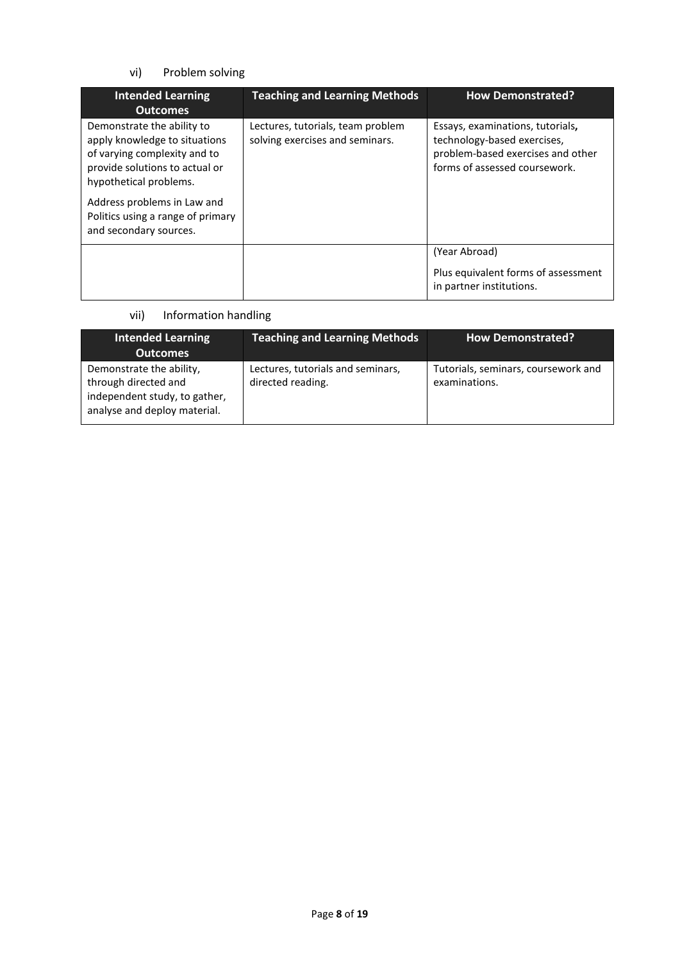## vi) Problem solving

| <b>Intended Learning</b><br><b>Outcomes</b>                                                                                                             | <b>Teaching and Learning Methods</b>                                 | <b>How Demonstrated?</b>                                                                                                              |
|---------------------------------------------------------------------------------------------------------------------------------------------------------|----------------------------------------------------------------------|---------------------------------------------------------------------------------------------------------------------------------------|
| Demonstrate the ability to<br>apply knowledge to situations<br>of varying complexity and to<br>provide solutions to actual or<br>hypothetical problems. | Lectures, tutorials, team problem<br>solving exercises and seminars. | Essays, examinations, tutorials,<br>technology-based exercises,<br>problem-based exercises and other<br>forms of assessed coursework. |
| Address problems in Law and<br>Politics using a range of primary<br>and secondary sources.                                                              |                                                                      |                                                                                                                                       |
|                                                                                                                                                         |                                                                      | (Year Abroad)                                                                                                                         |
|                                                                                                                                                         |                                                                      | Plus equivalent forms of assessment<br>in partner institutions.                                                                       |

## vii) Information handling

| <b>Intended Learning</b><br><b>Outcomes</b>                                                                       | <b>Teaching and Learning Methods</b>                   | <b>How Demonstrated?</b>                             |
|-------------------------------------------------------------------------------------------------------------------|--------------------------------------------------------|------------------------------------------------------|
| Demonstrate the ability,<br>through directed and<br>independent study, to gather,<br>analyse and deploy material. | Lectures, tutorials and seminars,<br>directed reading. | Tutorials, seminars, coursework and<br>examinations. |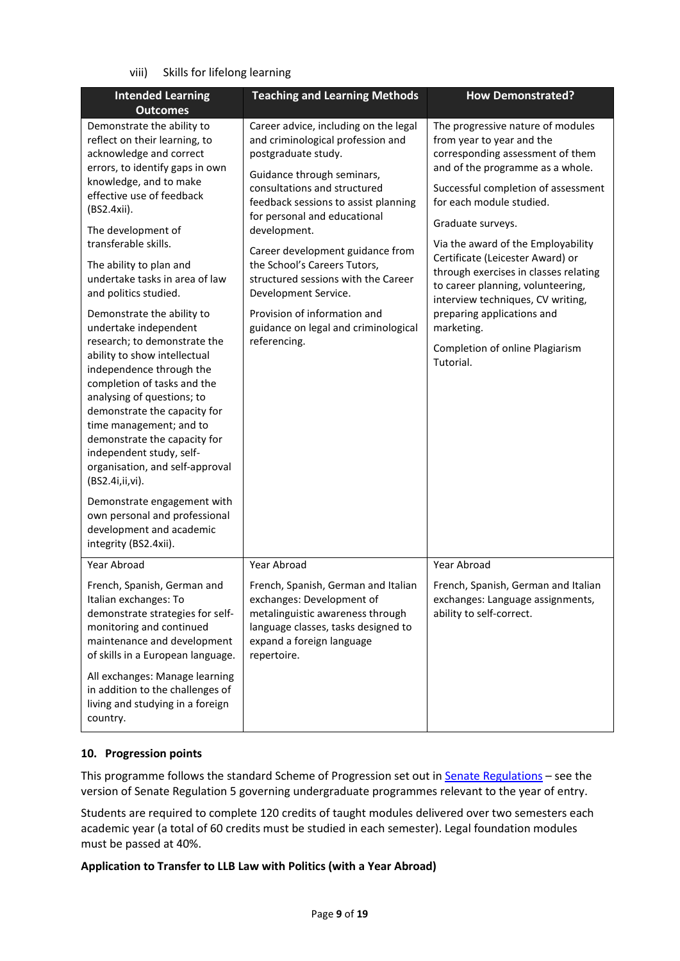## viii) Skills for lifelong learning

| <b>Intended Learning</b>                                                                                                                                                                                                                                                                                                           | <b>Teaching and Learning Methods</b>                                                                                                                                                    | <b>How Demonstrated?</b>                                                                                                                            |
|------------------------------------------------------------------------------------------------------------------------------------------------------------------------------------------------------------------------------------------------------------------------------------------------------------------------------------|-----------------------------------------------------------------------------------------------------------------------------------------------------------------------------------------|-----------------------------------------------------------------------------------------------------------------------------------------------------|
| <b>Outcomes</b>                                                                                                                                                                                                                                                                                                                    |                                                                                                                                                                                         |                                                                                                                                                     |
| Demonstrate the ability to<br>reflect on their learning, to<br>acknowledge and correct<br>errors, to identify gaps in own                                                                                                                                                                                                          | Career advice, including on the legal<br>and criminological profession and<br>postgraduate study.<br>Guidance through seminars,                                                         | The progressive nature of modules<br>from year to year and the<br>corresponding assessment of them<br>and of the programme as a whole.              |
| knowledge, and to make<br>effective use of feedback<br>(BS2.4xii).                                                                                                                                                                                                                                                                 | consultations and structured<br>feedback sessions to assist planning<br>for personal and educational                                                                                    | Successful completion of assessment<br>for each module studied.                                                                                     |
| The development of<br>transferable skills.                                                                                                                                                                                                                                                                                         | development.                                                                                                                                                                            | Graduate surveys.<br>Via the award of the Employability                                                                                             |
| The ability to plan and<br>undertake tasks in area of law<br>and politics studied.                                                                                                                                                                                                                                                 | Career development guidance from<br>the School's Careers Tutors,<br>structured sessions with the Career<br>Development Service.                                                         | Certificate (Leicester Award) or<br>through exercises in classes relating<br>to career planning, volunteering,<br>interview techniques, CV writing, |
| Demonstrate the ability to<br>undertake independent                                                                                                                                                                                                                                                                                | Provision of information and<br>guidance on legal and criminological                                                                                                                    | preparing applications and<br>marketing.                                                                                                            |
| research; to demonstrate the<br>ability to show intellectual<br>independence through the<br>completion of tasks and the<br>analysing of questions; to<br>demonstrate the capacity for<br>time management; and to<br>demonstrate the capacity for<br>independent study, self-<br>organisation, and self-approval<br>(BS2.4i,ii,vi). | referencing.                                                                                                                                                                            | Completion of online Plagiarism<br>Tutorial.                                                                                                        |
| Demonstrate engagement with<br>own personal and professional<br>development and academic<br>integrity (BS2.4xii).                                                                                                                                                                                                                  |                                                                                                                                                                                         |                                                                                                                                                     |
| Year Abroad                                                                                                                                                                                                                                                                                                                        | Year Abroad                                                                                                                                                                             | Year Abroad                                                                                                                                         |
| French, Spanish, German and<br>Italian exchanges: To<br>demonstrate strategies for self-<br>monitoring and continued<br>maintenance and development<br>of skills in a European language.                                                                                                                                           | French, Spanish, German and Italian<br>exchanges: Development of<br>metalinguistic awareness through<br>language classes, tasks designed to<br>expand a foreign language<br>repertoire. | French, Spanish, German and Italian<br>exchanges: Language assignments,<br>ability to self-correct.                                                 |
| All exchanges: Manage learning<br>in addition to the challenges of<br>living and studying in a foreign<br>country.                                                                                                                                                                                                                 |                                                                                                                                                                                         |                                                                                                                                                     |

## **10. Progression points**

This programme follows the standard Scheme of Progression set out i[n Senate Regulations](http://www.le.ac.uk/senate-regulations) - see the version of Senate Regulation 5 governing undergraduate programmes relevant to the year of entry.

Students are required to complete 120 credits of taught modules delivered over two semesters each academic year (a total of 60 credits must be studied in each semester). Legal foundation modules must be passed at 40%.

**Application to Transfer to LLB Law with Politics (with a Year Abroad)**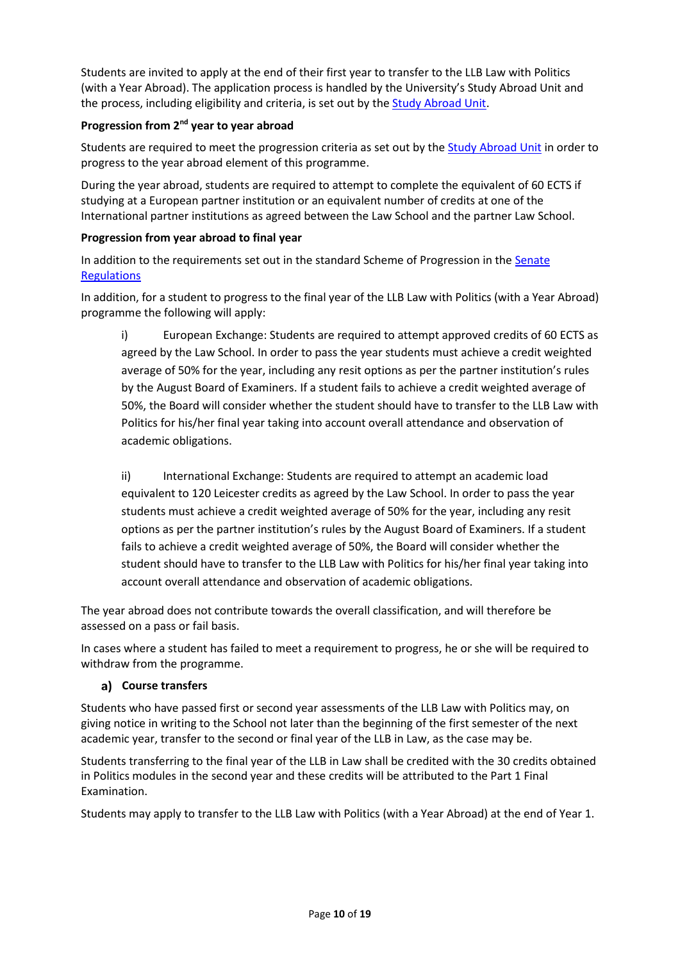Students are invited to apply at the end of their first year to transfer to the LLB Law with Politics (with a Year Abroad). The application process is handled by the University's Study Abroad Unit and the process, including eligibility and criteria, is set out by th[e Study Abroad Unit.](https://uniofleicester.sharepoint.com/sites/StudyAbroad)

## **Progression from 2nd year to year abroad**

Students are required to meet the progression criteria as set out by the [Study Abroad Unit](https://uniofleicester.sharepoint.com/sites/StudyAbroad) in order to progress to the year abroad element of this programme.

During the year abroad, students are required to attempt to complete the equivalent of 60 ECTS if studying at a European partner institution or an equivalent number of credits at one of the International partner institutions as agreed between the Law School and the partner Law School.

## **Progression from year abroad to final year**

In addition to the requirements set out in the standard Scheme of Progression in the Senate **[Regulations](http://www.le.ac.uk/senate-regulations)** 

In addition, for a student to progress to the final year of the LLB Law with Politics (with a Year Abroad) programme the following will apply:

i) European Exchange: Students are required to attempt approved credits of 60 ECTS as agreed by the Law School. In order to pass the year students must achieve a credit weighted average of 50% for the year, including any resit options as per the partner institution's rules by the August Board of Examiners. If a student fails to achieve a credit weighted average of 50%, the Board will consider whether the student should have to transfer to the LLB Law with Politics for his/her final year taking into account overall attendance and observation of academic obligations.

ii) International Exchange: Students are required to attempt an academic load equivalent to 120 Leicester credits as agreed by the Law School. In order to pass the year students must achieve a credit weighted average of 50% for the year, including any resit options as per the partner institution's rules by the August Board of Examiners. If a student fails to achieve a credit weighted average of 50%, the Board will consider whether the student should have to transfer to the LLB Law with Politics for his/her final year taking into account overall attendance and observation of academic obligations.

The year abroad does not contribute towards the overall classification, and will therefore be assessed on a pass or fail basis.

In cases where a student has failed to meet a requirement to progress, he or she will be required to withdraw from the programme.

## **Course transfers**

Students who have passed first or second year assessments of the LLB Law with Politics may, on giving notice in writing to the School not later than the beginning of the first semester of the next academic year, transfer to the second or final year of the LLB in Law, as the case may be.

Students transferring to the final year of the LLB in Law shall be credited with the 30 credits obtained in Politics modules in the second year and these credits will be attributed to the Part 1 Final Examination.

Students may apply to transfer to the LLB Law with Politics (with a Year Abroad) at the end of Year 1.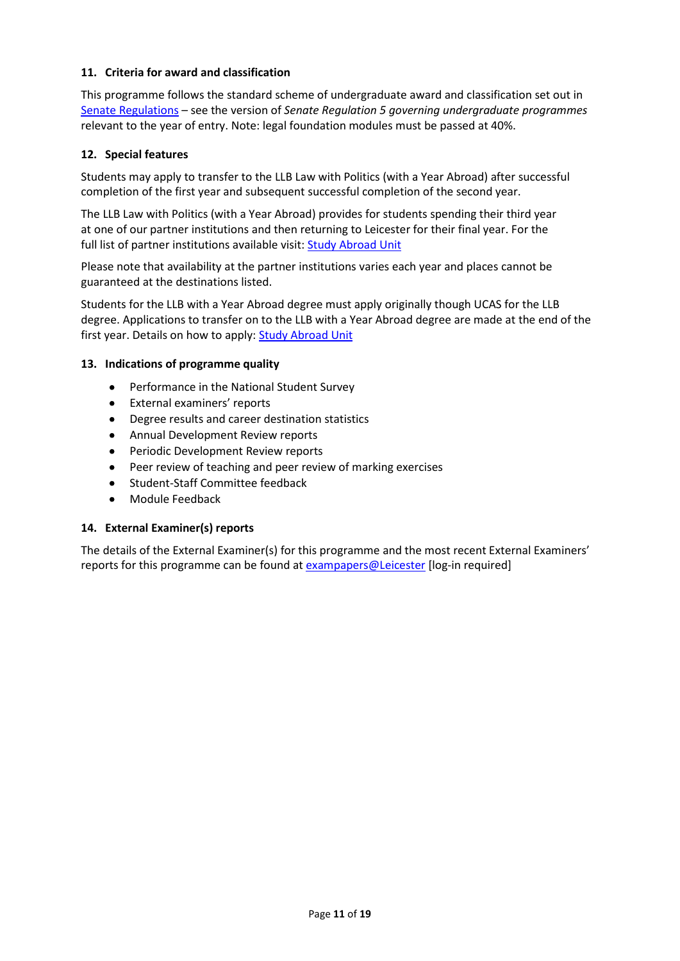## **11. Criteria for award and classification**

This programme follows the standard scheme of undergraduate award and classification set out in [Senate Regulations](http://www.le.ac.uk/senate-regulations) – see the version of *Senate Regulation 5 governing undergraduate programmes* relevant to the year of entry. Note: legal foundation modules must be passed at 40%.

### **12. Special features**

Students may apply to transfer to the LLB Law with Politics (with a Year Abroad) after successful completion of the first year and subsequent successful completion of the second year.

The LLB Law with Politics (with a Year Abroad) provides for students spending their third year at one of our partner institutions and then returning to Leicester for their final year. For the full list of partner institutions available visit: [Study Abroad Unit](https://uniofleicester.sharepoint.com/sites/StudyAbroad)

Please note that availability at the partner institutions varies each year and places cannot be guaranteed at the destinations listed.

Students for the LLB with a Year Abroad degree must apply originally though UCAS for the LLB degree. Applications to transfer on to the LLB with a Year Abroad degree are made at the end of the first year. Details on how to apply[: Study Abroad Unit](https://uniofleicester.sharepoint.com/sites/StudyAbroad)

#### **13. Indications of programme quality**

- Performance in the National Student Survey
- External examiners' reports
- Degree results and career destination statistics
- Annual Development Review reports
- Periodic Development Review reports
- Peer review of teaching and peer review of marking exercises
- Student-Staff Committee feedback
- Module Feedback

#### **14. External Examiner(s) reports**

The details of the External Examiner(s) for this programme and the most recent External Examiners' reports for this programme can be found at **[exampapers@Leicester](https://exampapers.le.ac.uk/)** [log-in required]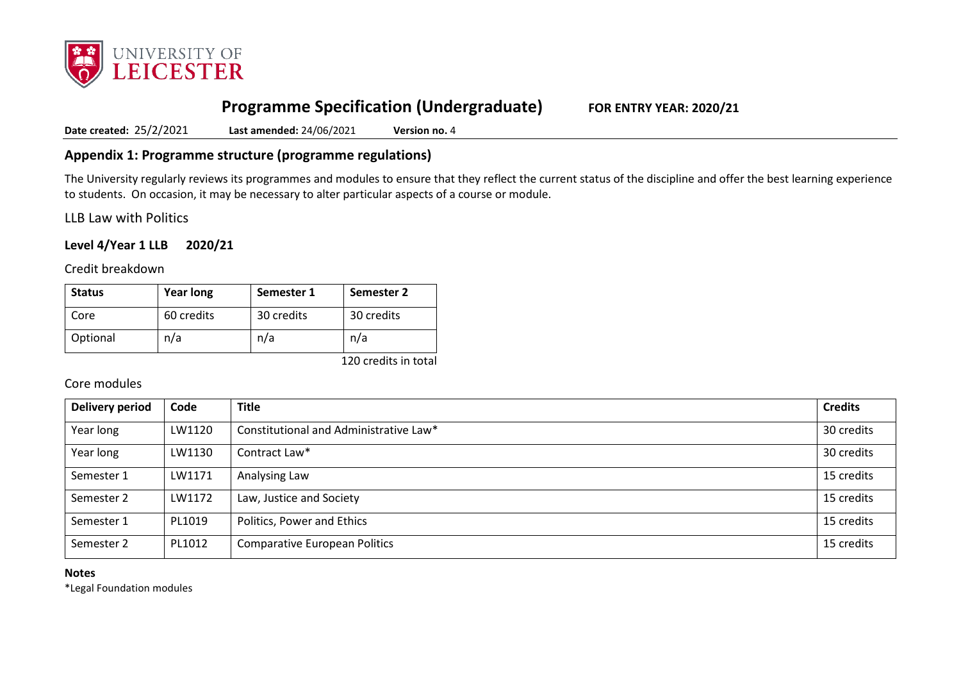

# **Programme Specification (Undergraduate) FOR ENTRY YEAR: 2020/21**

**Date created:** 25/2/2021 **Last amended:** 24/06/2021 **Version no.** 4

## **Appendix 1: Programme structure (programme regulations)**

The University regularly reviews its programmes and modules to ensure that they reflect the current status of the discipline and offer the best learning experience to students. On occasion, it may be necessary to alter particular aspects of a course or module.

LLB Law with Politics

## **Level 4/Year 1 LLB 2020/21**

Credit breakdown

| <b>Status</b> | <b>Year long</b> | Semester 1 | Semester 2 |
|---------------|------------------|------------|------------|
| Core          | 60 credits       | 30 credits | 30 credits |
| Optional      | n/a              | n/a        | n/a        |

120 credits in total

### Core modules

| <b>Delivery period</b> | Code   | <b>Title</b>                           | <b>Credits</b> |
|------------------------|--------|----------------------------------------|----------------|
| Year long              | LW1120 | Constitutional and Administrative Law* | 30 credits     |
| Year long              | LW1130 | Contract Law*                          | 30 credits     |
| Semester 1             | LW1171 | Analysing Law                          | 15 credits     |
| Semester 2             | LW1172 | Law, Justice and Society               | 15 credits     |
| Semester 1             | PL1019 | Politics, Power and Ethics             | 15 credits     |
| Semester 2             | PL1012 | <b>Comparative European Politics</b>   | 15 credits     |

#### **Notes**

\*Legal Foundation modules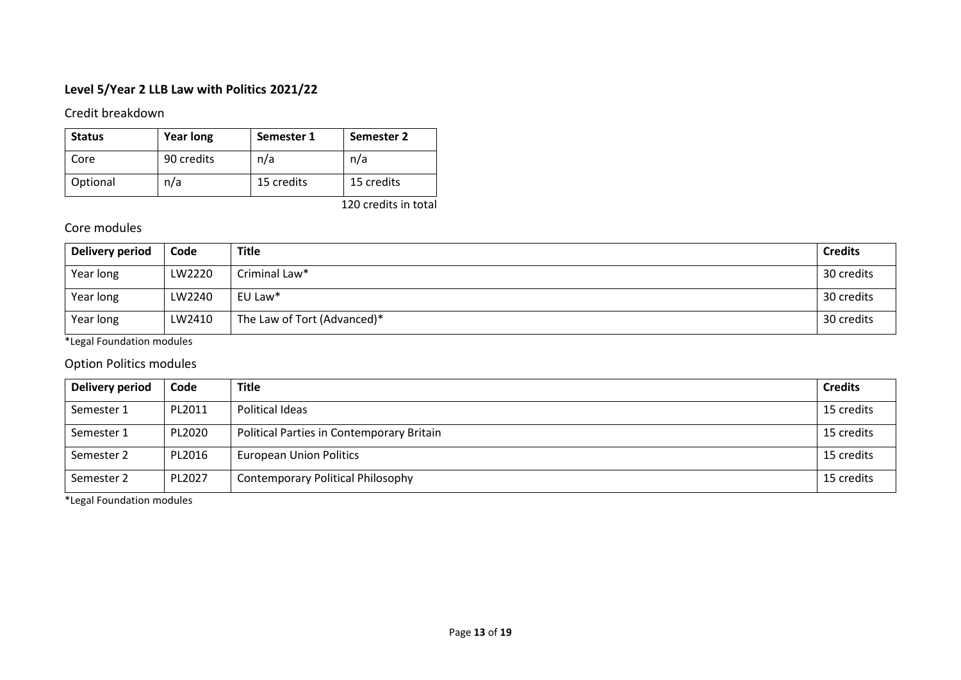# **Level 5/Year 2 LLB Law with Politics 2021/22**

Credit breakdown

| <b>Status</b> | <b>Year long</b> | Semester 1 | Semester 2 |
|---------------|------------------|------------|------------|
| Core          | 90 credits       | n/a        | n/a        |
| Optional      | n/a              | 15 credits | 15 credits |

120 credits in total

# Core modules

| Delivery period | Code   | <b>Title</b>                | <b>Credits</b> |
|-----------------|--------|-----------------------------|----------------|
| Year long       | LW2220 | Criminal Law*               | 30 credits     |
| Year long       | LW2240 | EU Law*                     | 30 credits     |
| Year long       | LW2410 | The Law of Tort (Advanced)* | 30 credits     |

\*Legal Foundation modules

# Option Politics modules

| Delivery period | Code   | <b>Title</b>                              | <b>Credits</b> |
|-----------------|--------|-------------------------------------------|----------------|
| Semester 1      | PL2011 | Political Ideas                           | 15 credits     |
| Semester 1      | PL2020 | Political Parties in Contemporary Britain | 15 credits     |
| Semester 2      | PL2016 | <b>European Union Politics</b>            | 15 credits     |
| Semester 2      | PL2027 | <b>Contemporary Political Philosophy</b>  | 15 credits     |

\*Legal Foundation modules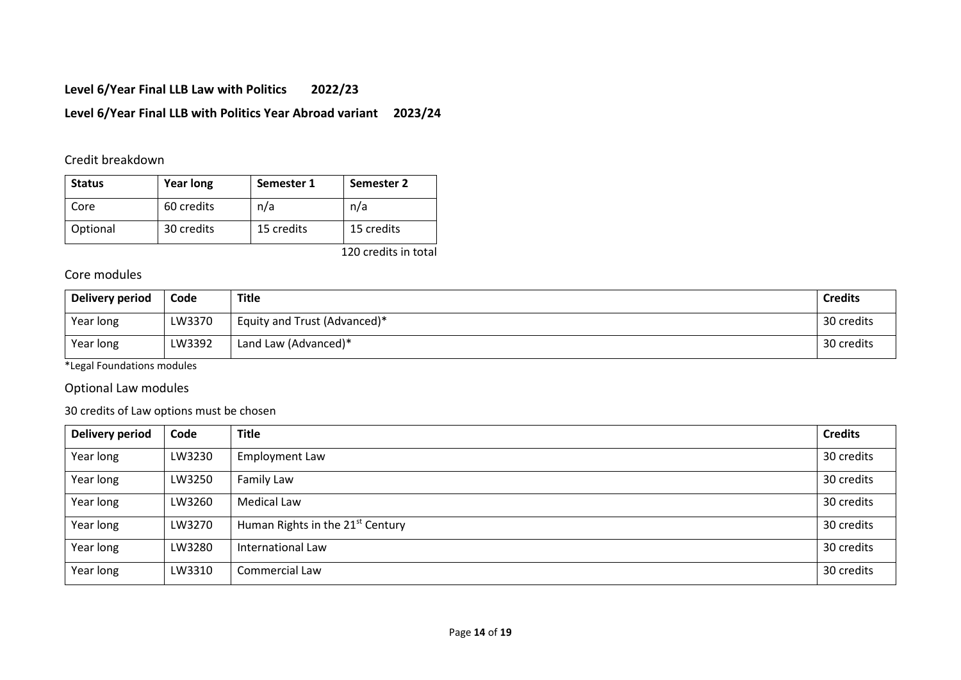# **Level 6/Year Final LLB Law with Politics 2022/23**

# **Level 6/Year Final LLB with Politics Year Abroad variant 2023/24**

# Credit breakdown

| <b>Status</b> | <b>Year long</b> | Semester 1 | Semester 2 |
|---------------|------------------|------------|------------|
| Core          | 60 credits       | n/a        | n/a        |
| Optional      | 30 credits       | 15 credits | 15 credits |

120 credits in total

## Core modules

| Delivery period | Code   | Title                        | <b>Credits</b> |
|-----------------|--------|------------------------------|----------------|
| Year long       | LW3370 | Equity and Trust (Advanced)* | 30 credits     |
| Year long       | LW3392 | Land Law (Advanced)*         | 30 credits     |

\*Legal Foundations modules

## Optional Law modules

## 30 credits of Law options must be chosen

| Delivery period | Code   | <b>Title</b>                                 | <b>Credits</b> |
|-----------------|--------|----------------------------------------------|----------------|
| Year long       | LW3230 | <b>Employment Law</b>                        | 30 credits     |
| Year long       | LW3250 | Family Law                                   | 30 credits     |
| Year long       | LW3260 | <b>Medical Law</b>                           | 30 credits     |
| Year long       | LW3270 | Human Rights in the 21 <sup>st</sup> Century | 30 credits     |
| Year long       | LW3280 | International Law                            | 30 credits     |
| Year long       | LW3310 | Commercial Law                               | 30 credits     |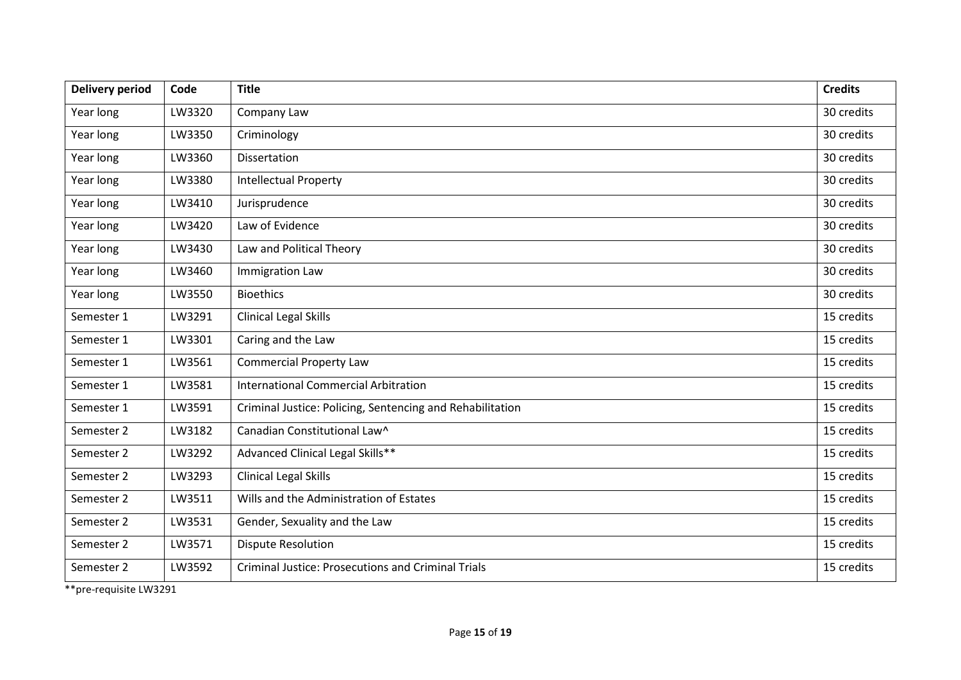| <b>Delivery period</b> | Code   | <b>Title</b>                                              | <b>Credits</b> |
|------------------------|--------|-----------------------------------------------------------|----------------|
| Year long              | LW3320 | Company Law                                               | 30 credits     |
| Year long              | LW3350 | Criminology                                               | 30 credits     |
| Year long              | LW3360 | Dissertation                                              | 30 credits     |
| Year long              | LW3380 | <b>Intellectual Property</b>                              | 30 credits     |
| Year long              | LW3410 | Jurisprudence                                             | 30 credits     |
| Year long              | LW3420 | Law of Evidence                                           | 30 credits     |
| Year long              | LW3430 | Law and Political Theory                                  | 30 credits     |
| Year long              | LW3460 | <b>Immigration Law</b>                                    | 30 credits     |
| Year long              | LW3550 | <b>Bioethics</b>                                          | 30 credits     |
| Semester 1             | LW3291 | <b>Clinical Legal Skills</b>                              | 15 credits     |
| Semester 1             | LW3301 | Caring and the Law                                        | 15 credits     |
| Semester 1             | LW3561 | <b>Commercial Property Law</b>                            | 15 credits     |
| Semester 1             | LW3581 | <b>International Commercial Arbitration</b>               | 15 credits     |
| Semester 1             | LW3591 | Criminal Justice: Policing, Sentencing and Rehabilitation | 15 credits     |
| Semester 2             | LW3182 | Canadian Constitutional Law^                              | 15 credits     |
| Semester 2             | LW3292 | Advanced Clinical Legal Skills**                          | 15 credits     |
| Semester 2             | LW3293 | <b>Clinical Legal Skills</b>                              | 15 credits     |
| Semester 2             | LW3511 | Wills and the Administration of Estates                   | 15 credits     |
| Semester 2             | LW3531 | Gender, Sexuality and the Law                             | 15 credits     |
| Semester 2             | LW3571 | <b>Dispute Resolution</b>                                 | 15 credits     |
| Semester 2             | LW3592 | <b>Criminal Justice: Prosecutions and Criminal Trials</b> | 15 credits     |

\*\*pre-requisite LW3291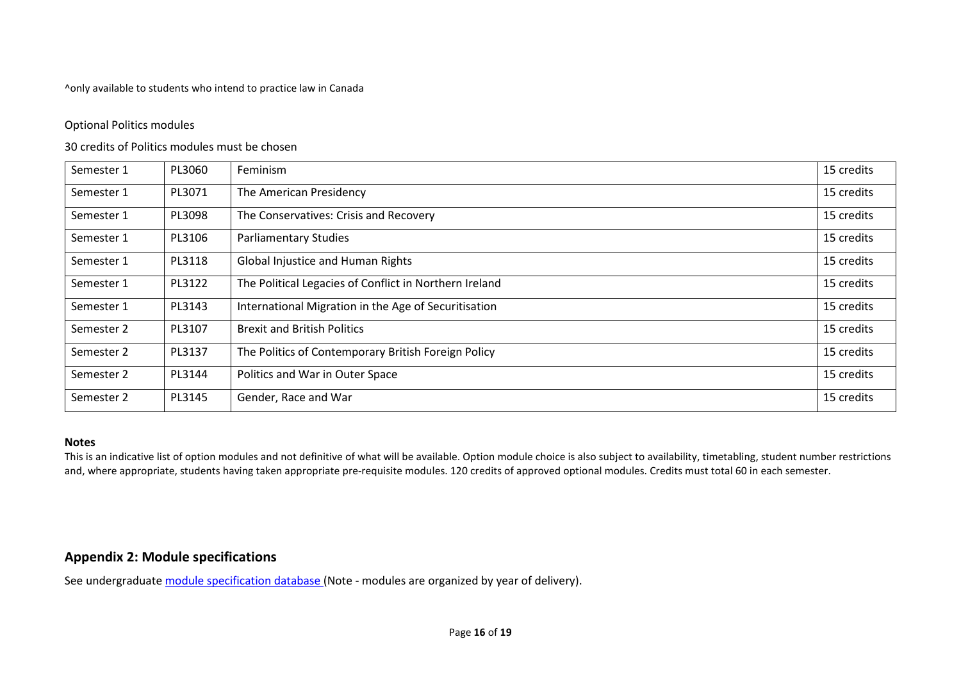^only available to students who intend to practice law in Canada

### Optional Politics modules

### 30 credits of Politics modules must be chosen

| Semester 1 | PL3060 | Feminism                                               | 15 credits |
|------------|--------|--------------------------------------------------------|------------|
| Semester 1 | PL3071 | The American Presidency                                | 15 credits |
| Semester 1 | PL3098 | The Conservatives: Crisis and Recovery                 | 15 credits |
| Semester 1 | PL3106 | <b>Parliamentary Studies</b>                           | 15 credits |
| Semester 1 | PL3118 | <b>Global Injustice and Human Rights</b>               | 15 credits |
| Semester 1 | PL3122 | The Political Legacies of Conflict in Northern Ireland | 15 credits |
| Semester 1 | PL3143 | International Migration in the Age of Securitisation   | 15 credits |
| Semester 2 | PL3107 | <b>Brexit and British Politics</b>                     | 15 credits |
| Semester 2 | PL3137 | The Politics of Contemporary British Foreign Policy    | 15 credits |
| Semester 2 | PL3144 | Politics and War in Outer Space                        | 15 credits |
| Semester 2 | PL3145 | Gender, Race and War                                   | 15 credits |

#### **Notes**

This is an indicative list of option modules and not definitive of what will be available. Option module choice is also subject to availability, timetabling, student number restrictions and, where appropriate, students having taken appropriate pre-requisite modules. 120 credits of approved optional modules. Credits must total 60 in each semester.

# **Appendix 2: Module specifications**

See undergraduat[e module specification database](http://www.le.ac.uk/sas/courses/documentation) (Note - modules are organized by year of delivery).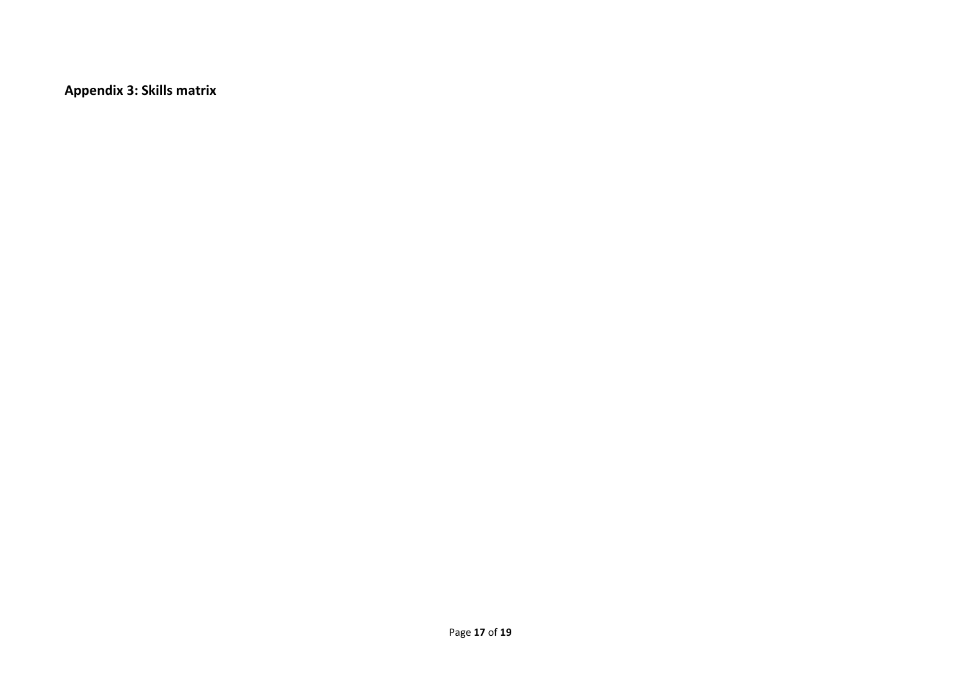**Appendix 3: Skills matrix**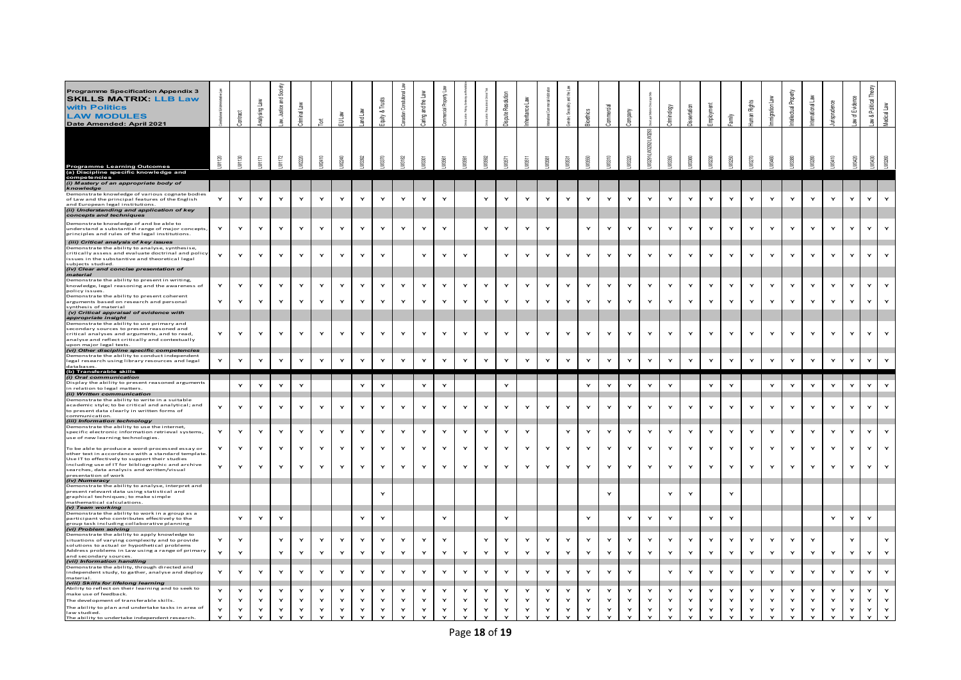| Programme Specification Appendix 3<br><b>SKILLS MATRIX: LLB Law</b><br>with Politics<br><b>LAW MODULES</b><br>Date Amended: April 2021                                                                                                        |              | <b>GRI</b><br>हैं | Analysing I  | 꾵<br>ੜੇਂ     | Criminal                     | Ι¤Ι               | <b>EULaw</b>       | 高<br>ਫ਼ਿ           | Equity &           |                    | ₫<br>Caring and the          |                    |              |                                    | lution<br>ute Res |                    |                              | 모                            |                    | යි                 | Company                 |                                |                    |                    |                      | wllw.              | Rights                       |                    | Propert<br>ectual<br>횥 | ternational                  |                    | of Evider<br>斋 | Law & Political | Medical Law                  |
|-----------------------------------------------------------------------------------------------------------------------------------------------------------------------------------------------------------------------------------------------|--------------|-------------------|--------------|--------------|------------------------------|-------------------|--------------------|--------------------|--------------------|--------------------|------------------------------|--------------------|--------------|------------------------------------|-------------------|--------------------|------------------------------|------------------------------|--------------------|--------------------|-------------------------|--------------------------------|--------------------|--------------------|----------------------|--------------------|------------------------------|--------------------|------------------------|------------------------------|--------------------|----------------|-----------------|------------------------------|
| <b>Programme Learning Outcomes</b><br>(a) Discipline specific knowledge and                                                                                                                                                                   | ă            | $\Xi$<br>ξ        | <b>IVITT</b> | IW1172       |                              | LW241             | LW2240             | JV3392             | LW3370             | LW3182             | LW3301                       | M8561              |              |                                    | LW571             | LW651              | I WARY                       | LW6631                       |                    | LN8310             | <b>M320</b>             | <b>M288</b><br>EN32911. N32921 |                    | <b>JVG360</b>      |                      | LW3250             |                              |                    |                        | JV3280                       | LW841              |                |                 | LW3260                       |
| competencies<br>(i) Mastery of an appropriate body of                                                                                                                                                                                         |              |                   |              |              |                              |                   |                    |                    |                    |                    |                              |                    |              |                                    |                   |                    |                              |                              |                    |                    |                         |                                |                    |                    |                      |                    |                              |                    |                        |                              |                    |                |                 |                              |
| knowledge<br>Demonstrate knowledge of various cognate bodies<br>of Law and the principal features of the English<br>and European legal institutions.<br>(ii) Understanding and application of key<br>concepts and techniques                  | Y            | Y                 | Y            | Y            | Y                            | Y                 | Y                  | $\mathbf{Y}$       | Y                  | Y                  | $\mathbf{Y}$                 | $\mathbf{Y}$       |              | Y                                  | Y                 | $\check{}$         | $\mathbf{Y}$                 | $\mathbf{Y}$                 | Y                  | Y                  | $\mathbf{Y}$            | Y                              | Y                  | $\mathbf{Y}$       | $\mathbf{Y}$         | Y                  | $\mathbf{Y}$                 |                    | Y                      | $\mathbf{Y}$                 | Y                  | Y              | Y               | $\mathbf{Y}$                 |
| Demonstrate knowledge of and be able to<br>understand a substantial range of major concepts,<br>principles and rules of the legal institutions.                                                                                               | $\mathbf{Y}$ | Y                 | Y            | Y            | $\mathbf{\dot{Y}}$           | Y                 | Y                  | $\mathbf{Y}$       | Y                  | Y                  | Y                            | Y                  |              | $\mathbf{Y}$                       | Y                 |                    | Y                            |                              | Y                  |                    | $\mathbf{Y}$            | Y                              |                    | $\mathbf{Y}$       |                      | Y                  | $\mathbf{Y}$                 |                    | Y                      | $\mathbf{Y}$                 |                    |                |                 | $\mathbf{Y}$                 |
| (iii) Critical analysis of key issues<br>Demonstrate the ability to analyse, synthesise,<br>critically assess and evaluate doctrinal and policy<br>ssues in the substantive and theoretical legal<br>subjects studied.                        | Y            | Y                 | Y            | Y            | $\mathbf{Y}$                 | Y                 | Y                  | $\mathbf{Y}$       | Y                  |                    | Y                            | $\mathbf{Y}$       | $\check{}$   |                                    | Y                 | $\checkmark$       | Y                            | Y                            | $\mathbf{v}$       | $\mathbf{Y}$       | $\mathbf{Y}$            | Y                              | Y                  | Y                  | ×                    | $\mathbf{Y}$       | $\mathbf{Y}$                 | $\checkmark$       | Y                      | $\mathbf{Y}$                 | Y                  | $\mathbf{Y}$   | Y               | Y                            |
| (iv) Clear and concise presentation of<br>material<br>Demonstrate the ability to present in writing,                                                                                                                                          |              |                   | Y            |              |                              | Y                 |                    |                    | Y                  |                    | Y                            | $\mathbf{Y}$       | Y            |                                    | Y                 | Y                  |                              |                              |                    |                    |                         |                                |                    | $\mathbf{Y}$       | Y                    |                    |                              | Y                  | Y                      |                              | Y                  | Y              | Y               | $\mathbf{Y}$                 |
| knowledge, legal reasoning and the awareness of<br>policy issues<br>Demonstrate the ability to present coherent<br>arguments based on research and personal                                                                                   | Υ            | Y<br>Y            |              | Y            | $\mathbf{\dot{Y}}$<br>Y      | Y                 | Y<br>Y             | Y<br>Y             | Y                  | Y<br>Y             | Y                            | Y                  |              | $\mathbf{\dot{r}}$<br>$\mathbf{Y}$ | Y                 |                    | $\mathbf{\dot{r}}$<br>Y      | Y<br>Y                       | Y                  | Y<br>Υ             | $\mathbf{\dot{Y}}$<br>Υ | Y<br>$\mathbf{Y}$              | Y                  |                    |                      | Y<br>Y             | Y<br>Y                       |                    | Y                      | Y<br>Y                       |                    |                |                 | $\mathbf{Y}$                 |
| synthesis of material<br>(v) Critical appraisal of evidence with                                                                                                                                                                              |              |                   |              |              |                              |                   |                    |                    |                    |                    |                              |                    |              |                                    |                   |                    |                              |                              |                    |                    |                         |                                |                    |                    |                      |                    |                              |                    |                        |                              |                    |                |                 |                              |
| appropriate insight<br>Demonstrate the ability to use primary and<br>secondary sources to present reasoned and<br>critical analyses and arguments, and to read,<br>analyse and reflect critically and contextually<br>upon major legal texts. | Υ            | Y                 | Y            | Y            | Y                            | Y                 | Y                  | Y                  | Y                  | Y                  | $\mathbf{Y}$                 | Y                  | Y            | $\mathbf{\dot{r}}$                 | Y                 | Y                  | $\mathbf{Y}$                 | Y                            | Y                  | Y                  | Y                       | Y                              | Y                  | Y                  | Y                    | Y                  | $\mathbf{Y}$                 | Y                  | Y                      | Y                            | Y                  | Y              | Y               | Y                            |
| (vi) Other discipline specific competencies<br>Demonstrate the ability to conduct independent<br>legal research using library resources and legal<br>databases                                                                                | $\mathbf{Y}$ | Y                 | Y            | $\mathsf{Y}$ | $\mathbf{Y}$                 | Y                 | $\mathbf{\dot{Y}}$ | $\mathbf{Y}$       | $\mathbf{\dot{Y}}$ | $\mathbf{\dot{r}}$ | $\mathbf{\dot{Y}}$           | $\mathbf{\dot{Y}}$ | Y            | $\mathbf{Y}$                       | Y                 | $\mathbf{\dot{Y}}$ | $\mathbf{\dot{r}}$           | Y                            | $\mathbf{\dot{Y}}$ | $\mathbf{\dot{r}}$ | $\mathbf{Y}$            | $\mathbf{Y}$                   | $\mathbf{\dot{Y}}$ | $\mathsf{Y}$       | $\mathbf{Y}$         | $\mathbf{\dot{Y}}$ | $\mathbf{\dot{r}}$           | $\mathbf{\dot{Y}}$ | $\mathbf{Y}$           | $\mathbf{\dot{r}}$           | $\mathbf{\dot{Y}}$ | $\mathsf{Y}$   | Y               | $\mathbf{Y}$                 |
| (b) Transferable skills                                                                                                                                                                                                                       |              |                   |              |              |                              |                   |                    |                    |                    |                    |                              |                    |              |                                    |                   |                    |                              |                              |                    |                    |                         |                                |                    |                    |                      |                    |                              |                    |                        |                              |                    |                |                 |                              |
| (i) Oral communication<br>Display the ability to present reasoned arguments<br>in relation to legal matters.                                                                                                                                  |              | $\mathbf{Y}$      | Y            | Y            | $\mathbf{\dot{Y}}$           |                   |                    | Y                  | $\mathbf{Y}$       |                    | $\mathbf{Y}$                 | $\mathbf{Y}$       |              |                                    | Y                 |                    |                              |                              | $\mathbf{\dot{r}}$ | Y                  | $\mathbf{Y}$            | $\mathbf{Y}$                   | Y                  |                    | $\mathbf{Y}$         | $\mathbf{Y}$       |                              | $\mathbf{Y}$       | Y                      | $\mathbf{Y}$                 | $\mathbf{\dot{r}}$ | $\mathbf{Y}$   | $\mathbf{Y}$    | $\mathbf{Y}$                 |
| (ii) Written communication                                                                                                                                                                                                                    |              |                   |              |              |                              |                   |                    |                    |                    |                    |                              |                    |              |                                    |                   |                    |                              |                              |                    |                    |                         |                                |                    |                    |                      |                    |                              |                    |                        |                              |                    |                |                 |                              |
| Demonstrate the ability to write in a suitable<br>academic style; to be critical and analytical; and<br>to present data clearly in written forms of<br>communication<br>(iii) Information technology                                          | $\mathbf{Y}$ | $\mathbf{Y}$      | Y            | Y            | $\mathbf{Y}$                 | Y                 | $\mathbf{Y}$       | $\mathbf{\dot{r}}$ | Y                  | $\mathbf{Y}$       | $\mathbf{Y}$                 | $\mathbf{Y}$       | Y            | $\mathbf{Y}$                       | Y                 | Y                  | $\mathbf{Y}$                 | $\mathbf{Y}$                 | Y                  | $\mathbf{Y}$       | $\mathbf{\dot{Y}}$      | $\mathbf{Y}$                   | $\mathbf{Y}$       | $\mathbf{Y}$       | Y                    | $\mathbf{Y}$       | $\mathbf{Y}$                 | Y                  | $\mathbf{Y}$           | $\mathbf{Y}$                 | Y                  | $\mathbf{Y}$   | Y               | $\mathbf{Y}$                 |
| Demonstrate the ability to use the internet,<br>specific electronic information retrieval systems,<br>use of new learning technologies.                                                                                                       | Y            | Y                 | Y            | Υ            | $\mathbf{\dot{Y}}$           | Y                 | Y                  | Y                  | Y                  | Y                  |                              |                    |              |                                    |                   |                    |                              | Y                            |                    |                    | Υ                       | Y                              | Υ                  | Y                  |                      | Y                  | Y                            | Y                  | Y                      | Y                            |                    | Y              | Y               | Y                            |
| To be able to produce a word-processed essay or<br>other text in accordance with a standard template.                                                                                                                                         | Y            |                   |              |              |                              |                   |                    |                    |                    |                    | Y                            | Y                  |              | Y                                  | Y                 | Y                  |                              |                              |                    |                    |                         |                                |                    |                    |                      |                    |                              |                    |                        |                              |                    |                |                 |                              |
| Use IT to effectively to support their studies                                                                                                                                                                                                |              | Y                 | Y            | Y            | $\mathbf{\dot{Y}}$           |                   | Y                  | Y                  | Y                  | Y                  | Y                            | Y                  | Y            | $\mathbf{\dot{r}}$                 | Y                 |                    | Y                            | Y                            |                    | Υ                  | $\mathbf{\dot{Y}}$      | Y                              | Υ                  | Y                  |                      | Y                  | Y                            |                    | Y                      | Y                            |                    |                |                 | Y                            |
| including use of IT for bibliographic and archive<br>searches, data analysis and written/visual<br>presentation of work<br>(iv) Numeracy                                                                                                      | Y            | Y                 | Y            | Y            | $\mathbf{Y}$                 | Y                 | Y                  | $\mathbf{Y}$       | Y                  | $\mathbf{Y}$       | $\mathbf{Y}$                 | $\mathbf{Y}$       | $\mathbf{Y}$ | $\mathbf{Y}$                       | $\mathbf{Y}$      | Y                  | $\mathbf{Y}$                 | Y                            | Y                  | $\mathbf{Y}$       | $\mathbf{Y}$            | $\mathbf{Y}$                   | Y                  | $\mathbf{\dot{r}}$ | Y                    | $\mathbf{Y}$       | $\mathbf{Y}$                 | Y                  | Y                      | $\mathbf{Y}$                 | Y                  | $\mathbf{Y}$   | Y               | $\mathbf{Y}$                 |
| Demonstrate the ability to analyse, interpret and<br>present relevant data using statistical and<br>graphical techniques; to make simple<br>mathematical calculations                                                                         |              |                   |              |              |                              |                   |                    |                    | ×                  |                    |                              |                    |              |                                    |                   |                    |                              |                              |                    |                    |                         |                                | Y                  | Y                  |                      | Y                  |                              |                    |                        |                              |                    |                |                 |                              |
| (v) Team working<br>Demonstrate the ability to work in a group as a                                                                                                                                                                           |              |                   |              |              |                              |                   |                    |                    |                    |                    |                              |                    |              |                                    |                   |                    |                              |                              |                    |                    |                         |                                |                    |                    |                      |                    |                              |                    |                        |                              |                    |                |                 |                              |
| participant who contributes effectively to the<br>group task including collaborative planning<br>(vi) Problem solving                                                                                                                         |              | Y                 |              | Y            |                              |                   |                    | Y                  | Y                  |                    |                              | Y                  |              |                                    | ×                 |                    |                              |                              |                    |                    | Y                       | Y                              | Y                  |                    |                      | Y                  |                              |                    |                        |                              |                    |                | Y               |                              |
| Demonstrate the ability to apply knowledge to<br>situations of varying complexity and to provide<br>solutions to actual or hypothetical problems<br>Address problems in Law using a range of primary                                          | Y<br>Y       | Y<br>Y            |              | Y<br>Y       | Y<br>Y                       | Y<br>Y            | $\mathbf{Y}$<br>Y  | Y<br>Y             | Y<br>Y             | Y<br>$\mathbf{Y}$  | $\mathbf{Y}$<br>$\mathbf{Y}$ | Y<br>Y             | Y            | Y<br>$\mathbf{\dot{r}}$            | Y<br>Y            | Y<br>Y             | $\mathbf{Y}$<br>$\mathbf{Y}$ | Y<br>Y                       | Y<br>Y             | Y<br>Y             | Y<br>Y                  | Y<br>$\mathbf{Y}$              | Y<br>Y             | Y<br>Y             | Y<br>Y               | Y<br>Y             | Y<br>Y                       | Y<br>Y             | $\mathbf{Y}$<br>Y      | Y<br>Y                       | Y                  | Y              | Y               | Y<br>Y                       |
| and secondary sources.<br>(vii) Information handling                                                                                                                                                                                          |              |                   |              |              |                              |                   |                    |                    |                    |                    |                              |                    |              |                                    |                   |                    |                              |                              |                    |                    |                         |                                |                    |                    |                      |                    |                              |                    |                        |                              |                    |                |                 |                              |
| Demonstrate the ability, through directed and<br>independent study, to gather, analyse and deploy                                                                                                                                             | Y            | Y                 | Y            | Y            | Y                            | Y                 | Y                  | Y                  | Y                  | $\mathbf{Y}$       | $\mathbf{Y}$                 | Y                  | Y            | $\mathbf{\dot{r}}$                 | Y                 | Y                  | $\mathbf{Y}$                 | Y                            | Y                  | Y                  | Y                       |                                | Y                  | $\mathbf{Y}$       | $\mathbf{\check{r}}$ | Y                  | $\mathbf{\dot{r}}$           | Y                  | $\mathbf{\check{r}}$   | $\mathbf{Y}$                 | Y                  | Y              | Y               | $\mathbf{Y}$                 |
| material<br>(viii) Skills for lifelong learning                                                                                                                                                                                               |              |                   |              |              |                              |                   |                    |                    |                    |                    |                              |                    |              |                                    |                   |                    |                              |                              |                    |                    |                         |                                |                    |                    |                      |                    |                              |                    |                        |                              |                    |                |                 |                              |
| Ability to reflect on their learning and to seek to<br>make use of feedback.<br>The development of transferable skills.                                                                                                                       | Y            | Y<br>Y            | Y            | $\mathbf{Y}$ | $\mathbf{Y}$                 | $\mathbf{Y}$<br>Y | Y<br>Y             | $\mathbf{Y}$       | $\mathbf{Y}$<br>Y  | Y<br>Y             | $\mathbf{Y}$<br>Y            | $\mathbf{Y}$<br>Y  | $\checkmark$ | Y<br>$\mathbf{Y}$                  | Y<br>Y            | $\mathbf{Y}$       | $\mathbf{\dot{r}}$           | $\mathbf{Y}$<br>$\mathbf{v}$ | $\mathbf{Y}$       | Y<br>Y             | $\mathbf{Y}$<br>Y       | $\mathbf{Y}$<br>Y              | $\mathbf{Y}$       | $\mathbf{Y}$<br>Y  | Y                    | Y<br>Y             | $\mathbf{Y}$                 | $\mathbf{Y}$       | $\mathbf{Y}$           | $\mathbf{Y}$                 | Y                  | Y              |                 | $\mathbf{Y}$                 |
| The ability to plan and undertake tasks in area of<br>law studied.                                                                                                                                                                            | Y            | Y                 | $\mathbf{Y}$ | $\mathbf{Y}$ | $\mathbf{Y}$<br>$\mathbf{Y}$ | Y                 | $\mathbf{\dot{Y}}$ | $\mathbf{Y}$<br>Y  | Y                  | Y                  | Y                            | Y                  | Y            | $\mathbf{Y}$                       | Y                 | $\checkmark$       | Y                            | Y                            |                    | $\mathbf{Y}$       | $\mathbf{Y}$            | $\mathbf{Y}$                   | $\mathbf{Y}$       | Y                  | Y                    | $\mathbf{Y}$       | $\mathbf{Y}$<br>$\mathbf{Y}$ | Y                  | Y                      | $\mathbf{Y}$<br>$\mathbf{Y}$ |                    | $\mathbf{Y}$   | Y               | $\mathbf{Y}$<br>$\mathbf{Y}$ |